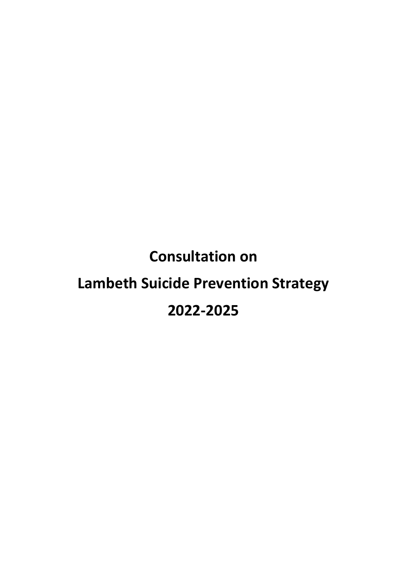# **Consultation on Lambeth Suicide Prevention Strategy 2022-2025**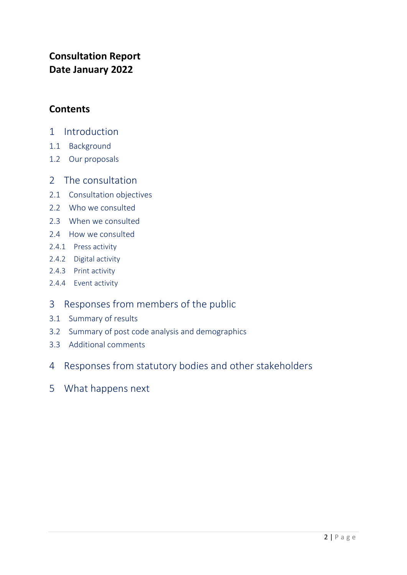# **Consultation Report Date January 2022**

# **Contents**

- 1 Introduction
- 1.1 Background
- 1.2 Our proposals
- 2 The consultation
- 2.1 Consultation objectives
- 2.2 Who we consulted
- 2.3 When we consulted
- 2.4 How we consulted
- 2.4.1 Press activity
- 2.4.2 Digital activity
- 2.4.3 Print activity
- 2.4.4 Event activity
- 3 Responses from members of the public
- 3.1 Summary of results
- 3.2 Summary of post code analysis and demographics
- 3.3 Additional comments
- 4 Responses from statutory bodies and other stakeholders
- 5 What happens next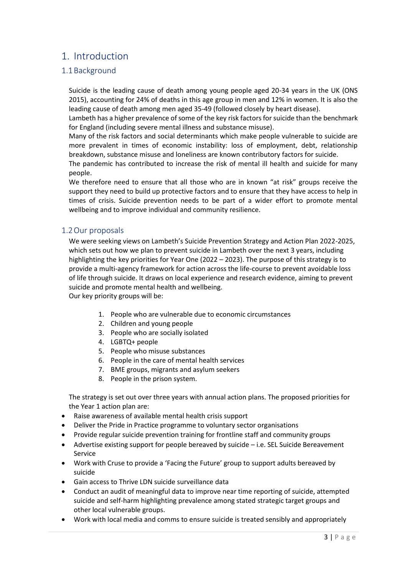# 1. Introduction

# 1.1Background

Suicide is the leading cause of death among young people aged 20-34 years in the UK (ONS 2015), accounting for 24% of deaths in this age group in men and 12% in women. It is also the leading cause of death among men aged 35-49 (followed closely by heart disease).

Lambeth has a higher prevalence of some of the key risk factors for suicide than the benchmark for England (including severe mental illness and substance misuse).

Many of the risk factors and social determinants which make people vulnerable to suicide are more prevalent in times of economic instability: loss of employment, debt, relationship breakdown, substance misuse and loneliness are known contributory factors for suicide.

The pandemic has contributed to increase the risk of mental ill health and suicide for many people.

We therefore need to ensure that all those who are in known "at risk" groups receive the support they need to build up protective factors and to ensure that they have access to help in times of crisis. Suicide prevention needs to be part of a wider effort to promote mental wellbeing and to improve individual and community resilience.

## 1.2Our proposals

We were seeking views on Lambeth's Suicide Prevention Strategy and Action Plan 2022-2025, which sets out how we plan to prevent suicide in Lambeth over the next 3 years, including highlighting the key priorities for Year One (2022 – 2023). The purpose of this strategy is to provide a multi-agency framework for action across the life-course to prevent avoidable loss of life through suicide. It draws on local experience and research evidence, aiming to prevent suicide and promote mental health and wellbeing.

Our key priority groups will be:

- 1. People who are vulnerable due to economic circumstances
- 2. Children and young people
- 3. People who are socially isolated
- 4. LGBTQ+ people
- 5. People who misuse substances
- 6. People in the care of mental health services
- 7. BME groups, migrants and asylum seekers
- 8. People in the prison system.

The strategy is set out over three years with annual action plans. The proposed priorities for the Year 1 action plan are:

- Raise awareness of available mental health crisis support
- Deliver the Pride in Practice programme to voluntary sector organisations
- Provide regular suicide prevention training for frontline staff and community groups
- Advertise existing support for people bereaved by suicide i.e. SEL Suicide Bereavement Service
- Work with Cruse to provide a 'Facing the Future' group to support adults bereaved by suicide
- Gain access to Thrive LDN suicide surveillance data
- Conduct an audit of meaningful data to improve near time reporting of suicide, attempted suicide and self-harm highlighting prevalence among stated strategic target groups and other local vulnerable groups.
- Work with local media and comms to ensure suicide is treated sensibly and appropriately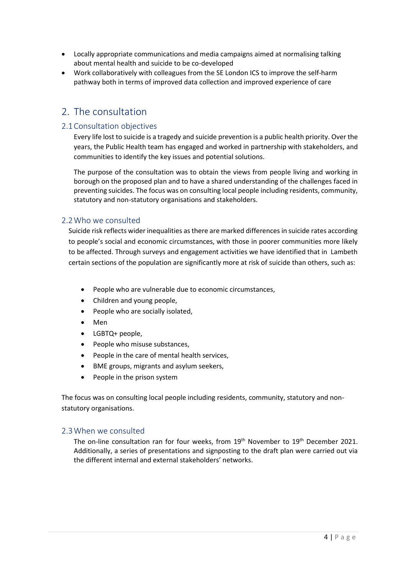- Locally appropriate communications and media campaigns aimed at normalising talking about mental health and suicide to be co-developed
- Work collaboratively with colleagues from the SE London ICS to improve the self-harm pathway both in terms of improved data collection and improved experience of care

# 2. The consultation

## 2.1Consultation objectives

Every life lost to suicide is a tragedy and suicide prevention is a public health priority. Over the years, the Public Health team has engaged and worked in partnership with stakeholders, and communities to identify the key issues and potential solutions.

The purpose of the consultation was to obtain the views from people living and working in borough on the proposed plan and to have a shared understanding of the challenges faced in preventing suicides. The focus was on consulting local people including residents, community, statutory and non-statutory organisations and stakeholders.

## 2.2Who we consulted

Suicide risk reflects wider inequalities as there are marked differences in suicide rates according to people's social and economic circumstances, with those in poorer communities more likely to be affected. Through surveys and engagement activities we have identified that in Lambeth certain sections of the population are significantly more at risk of suicide than others, such as:

- People who are vulnerable due to economic circumstances,
- Children and young people,
- People who are socially isolated,
- Men
- LGBTQ+ people,
- People who misuse substances,
- People in the care of mental health services,
- BME groups, migrants and asylum seekers,
- People in the prison system

The focus was on consulting local people including residents, community, statutory and nonstatutory organisations.

## 2.3When we consulted

The on-line consultation ran for four weeks, from  $19<sup>th</sup>$  November to  $19<sup>th</sup>$  December 2021. Additionally, a series of presentations and signposting to the draft plan were carried out via the different internal and external stakeholders' networks.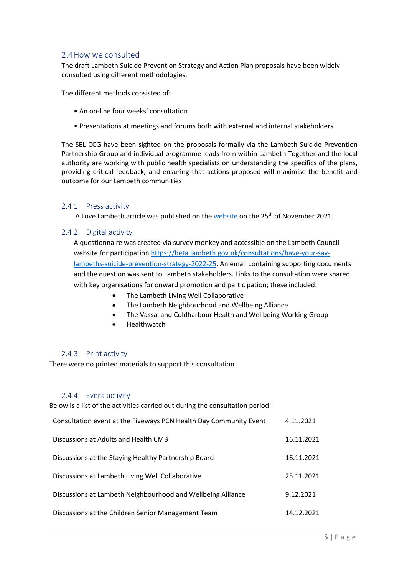### 2.4How we consulted

The draft Lambeth Suicide Prevention Strategy and Action Plan proposals have been widely consulted using different methodologies.

The different methods consisted of:

- An on-line four weeks' consultation
- Presentations at meetings and forums both with external and internal stakeholders

The SEL CCG have been sighted on the proposals formally via the Lambeth Suicide Prevention Partnership Group and individual programme leads from within Lambeth Together and the local authority are working with public health specialists on understanding the specifics of the plans, providing critical feedback, and ensuring that actions proposed will maximise the benefit and outcome for our Lambeth communities

#### 2.4.1 Press activity

A Love Lambeth article was published on th[e website](https://love.lambeth.gov.uk/have-your-say-on-lambeths-suicide-prevention-strategy-2022-25/) on the 25<sup>th</sup> of November 2021.

#### 2.4.2 Digital activity

A questionnaire was created via survey monkey and accessible on the Lambeth Council website for participatio[n https://beta.lambeth.gov.uk/consultations/have-your-say](https://beta.lambeth.gov.uk/consultations/have-your-say-lambeths-suicide-prevention-strategy-2022-25)[lambeths-suicide-prevention-strategy-2022-25.](https://beta.lambeth.gov.uk/consultations/have-your-say-lambeths-suicide-prevention-strategy-2022-25) An email containing supporting documents and the question was sent to Lambeth stakeholders. Links to the consultation were shared with key organisations for onward promotion and participation; these included:

- The Lambeth Living Well Collaborative
- The Lambeth Neighbourhood and Wellbeing Alliance
- The Vassal and Coldharbour Health and Wellbeing Working Group
- Healthwatch

#### 2.4.3 Print activity

There were no printed materials to support this consultation

#### 2.4.4 Event activity

Below is a list of the activities carried out during the consultation period:

| Consultation event at the Fiveways PCN Health Day Community Event | 4.11.2021  |
|-------------------------------------------------------------------|------------|
| Discussions at Adults and Health CMB                              | 16.11.2021 |
| Discussions at the Staying Healthy Partnership Board              | 16.11.2021 |
| Discussions at Lambeth Living Well Collaborative                  | 25.11.2021 |
| Discussions at Lambeth Neighbourhood and Wellbeing Alliance       | 9.12.2021  |
| Discussions at the Children Senior Management Team                | 14.12.2021 |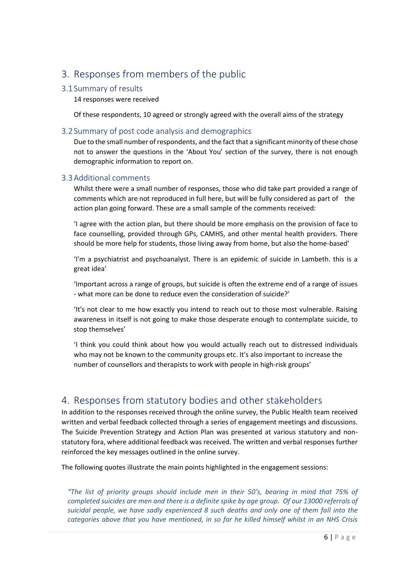# 3. Responses from members of the public

# 3.1 Summary of results

14 responses were received

Of these respondents, 10 agreed or strongly agreed with the overall aims of the strategy

## 3.2 Summary of post code analysis and demographics

Due to the small number of respondents, and the fact that a significant minority of these chose not to answer the questions in the 'About You' section of the survey, there is not enough demographic information to report on.

## 3.3Additional comments

Whilst there were a small number of responses, those who did take part provided a range of comments which are not reproduced in full here, but will be fully considered as part of the action plan going forward. These are a small sample of the comments received:

'I agree with the action plan, but there should be more emphasis on the provision of face to face counselling, provided through GPs, CAMHS, and other mental health providers. There should be more help for students, those living away from home, but also the home-based'

'I'm a psychiatrist and psychoanalyst. There is an epidemic of suicide in Lambeth. this is a great idea'

'Important across a range of groups, but suicide is often the extreme end of a range of issues - what more can be done to reduce even the consideration of suicide?'

'It's not clear to me how exactly you intend to reach out to those most vulnerable. Raising awareness in itself is not going to make those desperate enough to contemplate suicide, to stop themselves'

'I think you could think about how you would actually reach out to distressed individuals who may not be known to the community groups etc. It's also important to increase the number of counsellors and therapists to work with people in high-risk groups'

# 4. Responses from statutory bodies and other stakeholders

In addition to the responses received through the online survey, the Public Health team received written and verbal feedback collected through a series of engagement meetings and discussions. The Suicide Prevention Strategy and Action Plan was presented at various statutory and nonstatutory fora, where additional feedback was received. The written and verbal responses further reinforced the key messages outlined in the online survey.

The following quotes illustrate the main points highlighted in the engagement sessions:

*"The list of priority groups should include men in their 50's, bearing in mind that 75% of completed suicides are men and there is a definite spike by age group. Of our 13000 referrals of suicidal people, we have sadly experienced 8 such deaths and only one of them fall into the categories above that you have mentioned, in so far he killed himself whilst in an NHS Crisis*